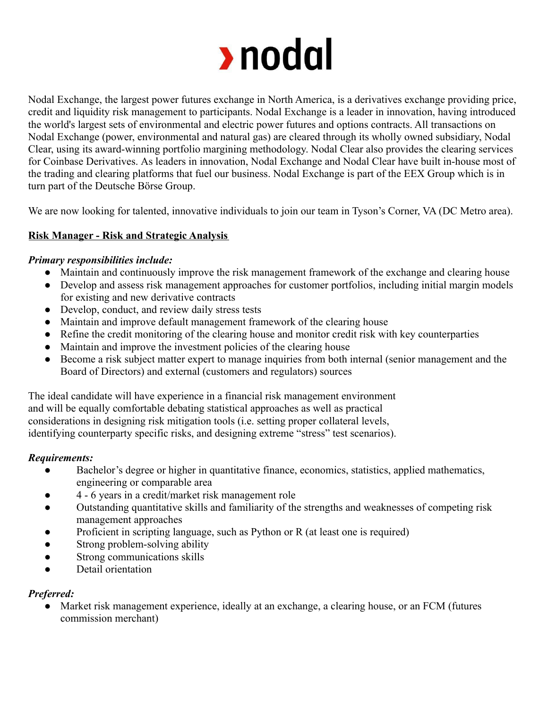

Nodal Exchange, the largest power futures exchange in North America, is a derivatives exchange providing price, credit and liquidity risk management to participants. Nodal Exchange is a leader in innovation, having introduced the world's largest sets of environmental and electric power futures and options contracts. All transactions on Nodal Exchange (power, environmental and natural gas) are cleared through its wholly owned subsidiary, Nodal Clear, using its award-winning portfolio margining methodology. Nodal Clear also provides the clearing services for Coinbase Derivatives. As leaders in innovation, Nodal Exchange and Nodal Clear have built in-house most of the trading and clearing platforms that fuel our business. Nodal Exchange is part of the EEX Group which is in turn part of the Deutsche Börse Group.

We are now looking for talented, innovative individuals to join our team in Tyson's Corner, VA (DC Metro area).

## **Risk Manager - Risk and Strategic Analysis**

### *Primary responsibilities include:*

- Maintain and continuously improve the risk management framework of the exchange and clearing house
- Develop and assess risk management approaches for customer portfolios, including initial margin models for existing and new derivative contracts
- Develop, conduct, and review daily stress tests
- Maintain and improve default management framework of the clearing house
- Refine the credit monitoring of the clearing house and monitor credit risk with key counterparties
- Maintain and improve the investment policies of the clearing house
- Become a risk subject matter expert to manage inquiries from both internal (senior management and the Board of Directors) and external (customers and regulators) sources

The ideal candidate will have experience in a financial risk management environment and will be equally comfortable debating statistical approaches as well as practical considerations in designing risk mitigation tools (i.e. setting proper collateral levels, identifying counterparty specific risks, and designing extreme "stress" test scenarios).

### *Requirements:*

- Bachelor's degree or higher in quantitative finance, economics, statistics, applied mathematics, engineering or comparable area
- 4 6 years in a credit/market risk management role
- Outstanding quantitative skills and familiarity of the strengths and weaknesses of competing risk management approaches
- Proficient in scripting language, such as Python or  $R$  (at least one is required)
- Strong problem-solving ability
- Strong communications skills
- Detail orientation

### *Preferred:*

● Market risk management experience, ideally at an exchange, a clearing house, or an FCM (futures commission merchant)